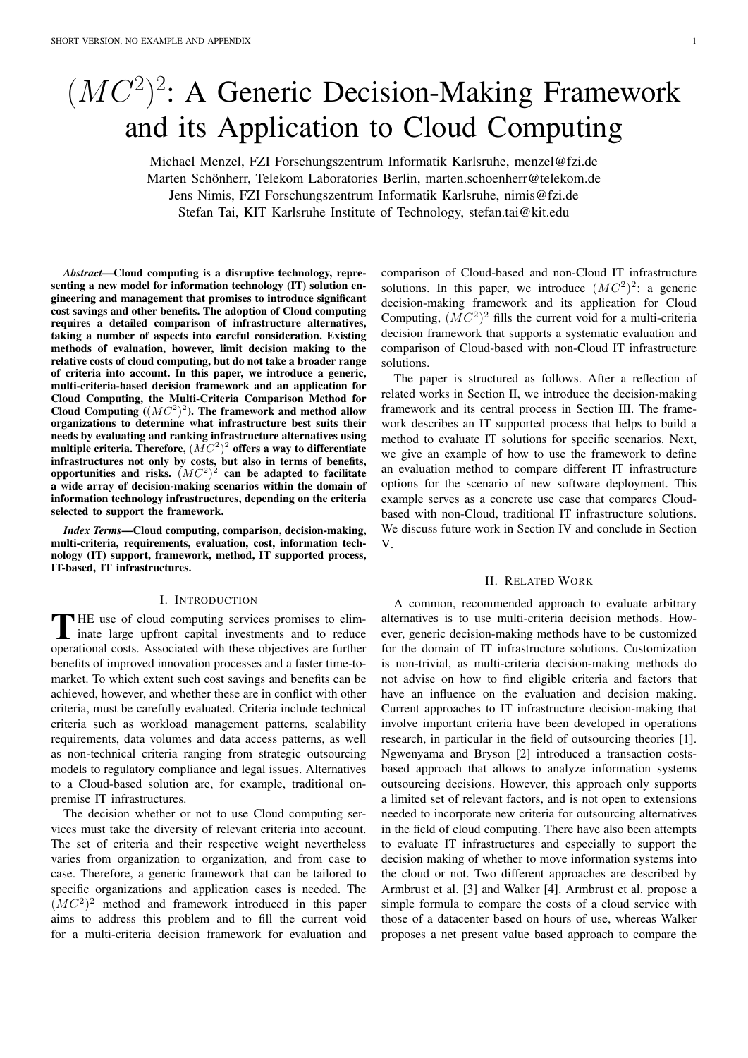# (MC<sup>2</sup> ) 2 : A Generic Decision-Making Framework and its Application to Cloud Computing

Michael Menzel, FZI Forschungszentrum Informatik Karlsruhe, menzel@fzi.de Marten Schönherr, Telekom Laboratories Berlin, marten.schoenherr@telekom.de Jens Nimis, FZI Forschungszentrum Informatik Karlsruhe, nimis@fzi.de Stefan Tai, KIT Karlsruhe Institute of Technology, stefan.tai@kit.edu

*Abstract*—Cloud computing is a disruptive technology, representing a new model for information technology (IT) solution engineering and management that promises to introduce significant cost savings and other benefits. The adoption of Cloud computing requires a detailed comparison of infrastructure alternatives, taking a number of aspects into careful consideration. Existing methods of evaluation, however, limit decision making to the relative costs of cloud computing, but do not take a broader range of criteria into account. In this paper, we introduce a generic, multi-criteria-based decision framework and an application for Cloud Computing, the Multi-Criteria Comparison Method for Cloud Computing  $((MC^2)^2)$ . The framework and method allow organizations to determine what infrastructure best suits their needs by evaluating and ranking infrastructure alternatives using multiple criteria. Therefore,  $(\check{MC}^2)^2$  offers a way to differentiate infrastructures not only by costs, but also in terms of benefits, opportunities and risks.  $(MC^2)^2$  can be adapted to facilitate a wide array of decision-making scenarios within the domain of information technology infrastructures, depending on the criteria selected to support the framework.

*Index Terms*—Cloud computing, comparison, decision-making, multi-criteria, requirements, evaluation, cost, information technology (IT) support, framework, method, IT supported process, IT-based, IT infrastructures.

# I. INTRODUCTION

THE use of cloud computing services promises to elim-<br>inate large upfront capital investments and to reduce inate large upfront capital investments and to reduce operational costs. Associated with these objectives are further benefits of improved innovation processes and a faster time-tomarket. To which extent such cost savings and benefits can be achieved, however, and whether these are in conflict with other criteria, must be carefully evaluated. Criteria include technical criteria such as workload management patterns, scalability requirements, data volumes and data access patterns, as well as non-technical criteria ranging from strategic outsourcing models to regulatory compliance and legal issues. Alternatives to a Cloud-based solution are, for example, traditional onpremise IT infrastructures.

The decision whether or not to use Cloud computing services must take the diversity of relevant criteria into account. The set of criteria and their respective weight nevertheless varies from organization to organization, and from case to case. Therefore, a generic framework that can be tailored to specific organizations and application cases is needed. The  $(MC<sup>2</sup>)<sup>2</sup>$  method and framework introduced in this paper aims to address this problem and to fill the current void for a multi-criteria decision framework for evaluation and comparison of Cloud-based and non-Cloud IT infrastructure solutions. In this paper, we introduce  $(MC^2)^2$ : a generic decision-making framework and its application for Cloud Computing,  $(MC^2)^2$  fills the current void for a multi-criteria decision framework that supports a systematic evaluation and comparison of Cloud-based with non-Cloud IT infrastructure solutions.

The paper is structured as follows. After a reflection of related works in Section II, we introduce the decision-making framework and its central process in Section III. The framework describes an IT supported process that helps to build a method to evaluate IT solutions for specific scenarios. Next, we give an example of how to use the framework to define an evaluation method to compare different IT infrastructure options for the scenario of new software deployment. This example serves as a concrete use case that compares Cloudbased with non-Cloud, traditional IT infrastructure solutions. We discuss future work in Section IV and conclude in Section V.

#### II. RELATED WORK

A common, recommended approach to evaluate arbitrary alternatives is to use multi-criteria decision methods. However, generic decision-making methods have to be customized for the domain of IT infrastructure solutions. Customization is non-trivial, as multi-criteria decision-making methods do not advise on how to find eligible criteria and factors that have an influence on the evaluation and decision making. Current approaches to IT infrastructure decision-making that involve important criteria have been developed in operations research, in particular in the field of outsourcing theories [1]. Ngwenyama and Bryson [2] introduced a transaction costsbased approach that allows to analyze information systems outsourcing decisions. However, this approach only supports a limited set of relevant factors, and is not open to extensions needed to incorporate new criteria for outsourcing alternatives in the field of cloud computing. There have also been attempts to evaluate IT infrastructures and especially to support the decision making of whether to move information systems into the cloud or not. Two different approaches are described by Armbrust et al. [3] and Walker [4]. Armbrust et al. propose a simple formula to compare the costs of a cloud service with those of a datacenter based on hours of use, whereas Walker proposes a net present value based approach to compare the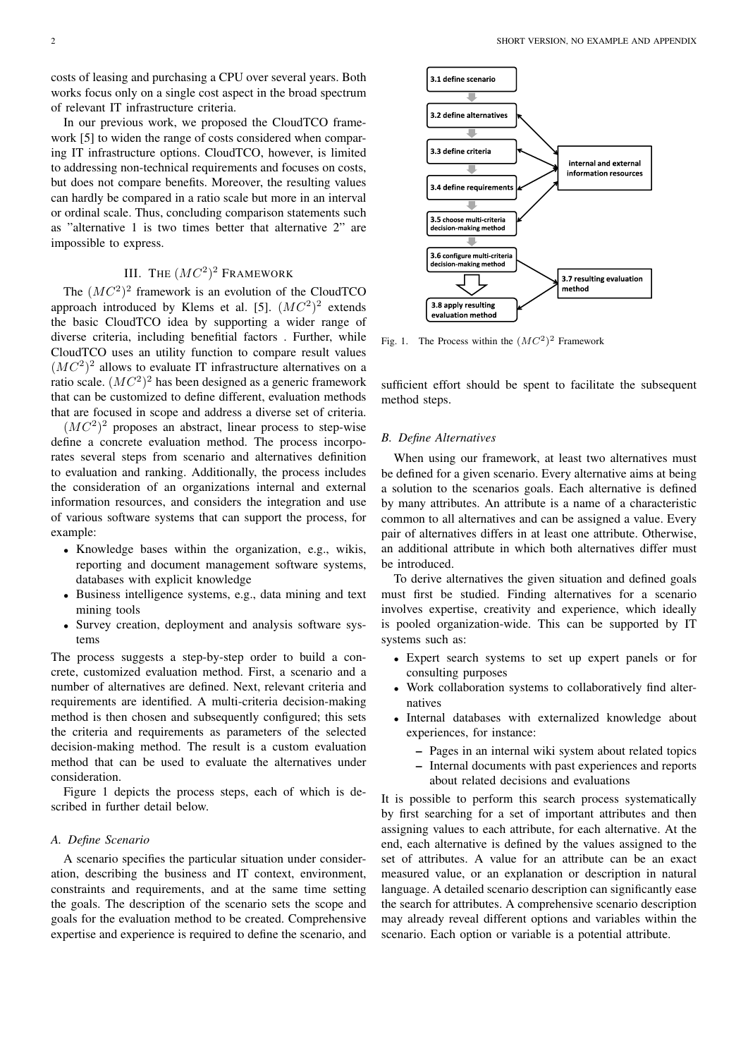costs of leasing and purchasing a CPU over several years. Both works focus only on a single cost aspect in the broad spectrum of relevant IT infrastructure criteria.

In our previous work, we proposed the CloudTCO framework [5] to widen the range of costs considered when comparing IT infrastructure options. CloudTCO, however, is limited to addressing non-technical requirements and focuses on costs, but does not compare benefits. Moreover, the resulting values can hardly be compared in a ratio scale but more in an interval or ordinal scale. Thus, concluding comparison statements such as "alternative 1 is two times better that alternative 2" are impossible to express.

# III. THE  $(MC^2)^2$  Framework

The  $(MC<sup>2</sup>)<sup>2</sup>$  framework is an evolution of the CloudTCO approach introduced by Klems et al. [5].  $(MC^2)^2$  extends the basic CloudTCO idea by supporting a wider range of diverse criteria, including benefitial factors . Further, while CloudTCO uses an utility function to compare result values  $(MC<sup>2</sup>)<sup>2</sup>$  allows to evaluate IT infrastructure alternatives on a ratio scale.  $(MC^2)^2$  has been designed as a generic framework that can be customized to define different, evaluation methods that are focused in scope and address a diverse set of criteria.

 $(MC<sup>2</sup>)<sup>2</sup>$  proposes an abstract, linear process to step-wise define a concrete evaluation method. The process incorporates several steps from scenario and alternatives definition to evaluation and ranking. Additionally, the process includes the consideration of an organizations internal and external information resources, and considers the integration and use of various software systems that can support the process, for example:

- Knowledge bases within the organization, e.g., wikis, reporting and document management software systems, databases with explicit knowledge
- Business intelligence systems, e.g., data mining and text mining tools
- Survey creation, deployment and analysis software systems

The process suggests a step-by-step order to build a concrete, customized evaluation method. First, a scenario and a number of alternatives are defined. Next, relevant criteria and requirements are identified. A multi-criteria decision-making method is then chosen and subsequently configured; this sets the criteria and requirements as parameters of the selected decision-making method. The result is a custom evaluation method that can be used to evaluate the alternatives under consideration.

Figure 1 depicts the process steps, each of which is described in further detail below.

# *A. Define Scenario*

A scenario specifies the particular situation under consideration, describing the business and IT context, environment, constraints and requirements, and at the same time setting the goals. The description of the scenario sets the scope and goals for the evaluation method to be created. Comprehensive expertise and experience is required to define the scenario, and



Fig. 1. The Process within the  $(MC^2)^2$  Framework

sufficient effort should be spent to facilitate the subsequent method steps.

## *B. Define Alternatives*

When using our framework, at least two alternatives must be defined for a given scenario. Every alternative aims at being a solution to the scenarios goals. Each alternative is defined by many attributes. An attribute is a name of a characteristic common to all alternatives and can be assigned a value. Every pair of alternatives differs in at least one attribute. Otherwise, an additional attribute in which both alternatives differ must be introduced.

To derive alternatives the given situation and defined goals must first be studied. Finding alternatives for a scenario involves expertise, creativity and experience, which ideally is pooled organization-wide. This can be supported by IT systems such as:

- Expert search systems to set up expert panels or for consulting purposes
- Work collaboration systems to collaboratively find alternatives
- Internal databases with externalized knowledge about experiences, for instance:
	- Pages in an internal wiki system about related topics
	- Internal documents with past experiences and reports about related decisions and evaluations

It is possible to perform this search process systematically by first searching for a set of important attributes and then assigning values to each attribute, for each alternative. At the end, each alternative is defined by the values assigned to the set of attributes. A value for an attribute can be an exact measured value, or an explanation or description in natural language. A detailed scenario description can significantly ease the search for attributes. A comprehensive scenario description may already reveal different options and variables within the scenario. Each option or variable is a potential attribute.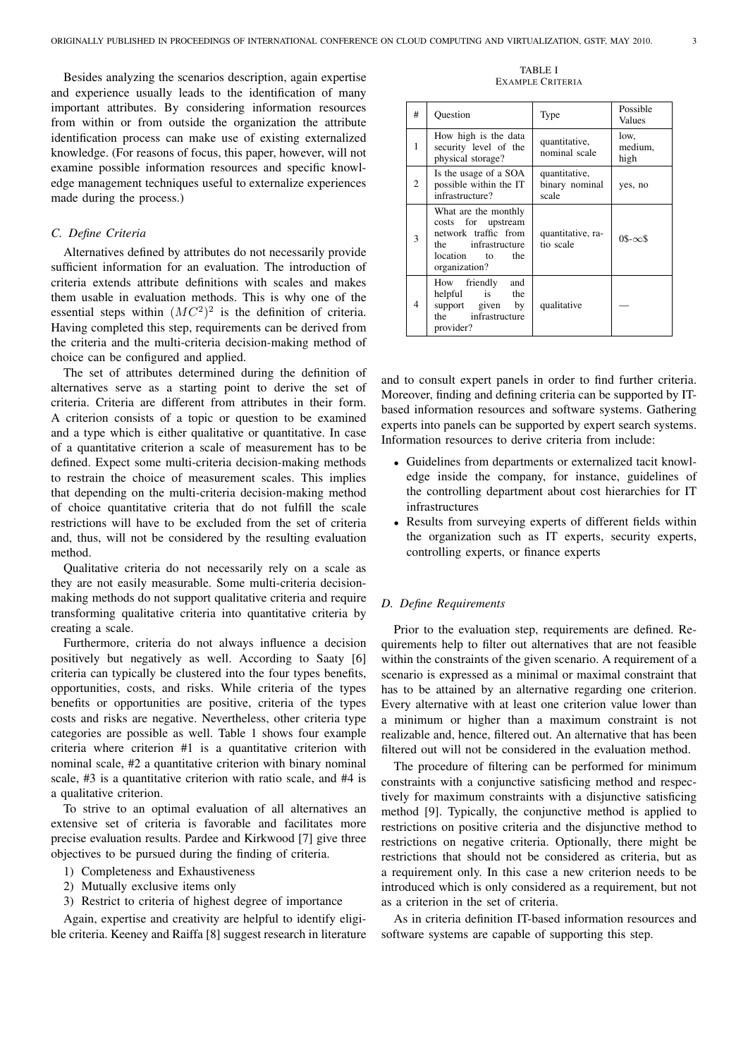Besides analyzing the scenarios description, again expertise and experience usually leads to the identification of many important attributes. By considering information resources from within or from outside the organization the attribute identification process can make use of existing externalized knowledge. (For reasons of focus, this paper, however, will not examine possible information resources and specific knowledge management techniques useful to externalize experiences made during the process.)

# *C. Define Criteria*

Alternatives defined by attributes do not necessarily provide sufficient information for an evaluation. The introduction of criteria extends attribute definitions with scales and makes them usable in evaluation methods. This is why one of the essential steps within  $(MC^2)^2$  is the definition of criteria. Having completed this step, requirements can be derived from the criteria and the multi-criteria decision-making method of choice can be configured and applied.

The set of attributes determined during the definition of alternatives serve as a starting point to derive the set of criteria. Criteria are different from attributes in their form. A criterion consists of a topic or question to be examined and a type which is either qualitative or quantitative. In case of a quantitative criterion a scale of measurement has to be defined. Expect some multi-criteria decision-making methods to restrain the choice of measurement scales. This implies that depending on the multi-criteria decision-making method of choice quantitative criteria that do not fulfill the scale restrictions will have to be excluded from the set of criteria and, thus, will not be considered by the resulting evaluation method.

Qualitative criteria do not necessarily rely on a scale as they are not easily measurable. Some multi-criteria decisionmaking methods do not support qualitative criteria and require transforming qualitative criteria into quantitative criteria by creating a scale.

Furthermore, criteria do not always influence a decision positively but negatively as well. According to Saaty [6] criteria can typically be clustered into the four types benefits, opportunities, costs, and risks. While criteria of the types benefits or opportunities are positive, criteria of the types costs and risks are negative. Nevertheless, other criteria type categories are possible as well. Table 1 shows four example criteria where criterion #1 is a quantitative criterion with nominal scale, #2 a quantitative criterion with binary nominal scale, #3 is a quantitative criterion with ratio scale, and #4 is a qualitative criterion.

To strive to an optimal evaluation of all alternatives an extensive set of criteria is favorable and facilitates more precise evaluation results. Pardee and Kirkwood [7] give three objectives to be pursued during the finding of criteria.

- 1) Completeness and Exhaustiveness
- 2) Mutually exclusive items only
- 3) Restrict to criteria of highest degree of importance

Again, expertise and creativity are helpful to identify eligible criteria. Keeney and Raiffa [8] suggest research in literature

TABLE I EXAMPLE CRITERIA

| # | Question                                                                                                                        | Type                                     | Possible<br>Values      |
|---|---------------------------------------------------------------------------------------------------------------------------------|------------------------------------------|-------------------------|
| 1 | How high is the data<br>security level of the<br>physical storage?                                                              | quantitative,<br>nominal scale           | low,<br>medium,<br>high |
| 2 | Is the usage of a SOA<br>possible within the IT<br>infrastructure?                                                              | quantitative,<br>binary nominal<br>scale | yes, no                 |
| 3 | What are the monthly<br>costs for upstream<br>network traffic from<br>the infrastructure<br>location to<br>the<br>organization? | quantitative, ra-<br>tio scale           | $0$ \$- $\infty$ \$     |
| 4 | How friendly<br>and<br>helpful<br>is the<br>support given<br>by<br>the infrastructure<br>provider?                              | qualitative                              |                         |

and to consult expert panels in order to find further criteria. Moreover, finding and defining criteria can be supported by ITbased information resources and software systems. Gathering experts into panels can be supported by expert search systems. Information resources to derive criteria from include:

- Guidelines from departments or externalized tacit knowledge inside the company, for instance, guidelines of the controlling department about cost hierarchies for IT infrastructures
- Results from surveying experts of different fields within the organization such as IT experts, security experts, controlling experts, or finance experts

# *D. Define Requirements*

Prior to the evaluation step, requirements are defined. Requirements help to filter out alternatives that are not feasible within the constraints of the given scenario. A requirement of a scenario is expressed as a minimal or maximal constraint that has to be attained by an alternative regarding one criterion. Every alternative with at least one criterion value lower than a minimum or higher than a maximum constraint is not realizable and, hence, filtered out. An alternative that has been filtered out will not be considered in the evaluation method.

The procedure of filtering can be performed for minimum constraints with a conjunctive satisficing method and respectively for maximum constraints with a disjunctive satisficing method [9]. Typically, the conjunctive method is applied to restrictions on positive criteria and the disjunctive method to restrictions on negative criteria. Optionally, there might be restrictions that should not be considered as criteria, but as a requirement only. In this case a new criterion needs to be introduced which is only considered as a requirement, but not as a criterion in the set of criteria.

As in criteria definition IT-based information resources and software systems are capable of supporting this step.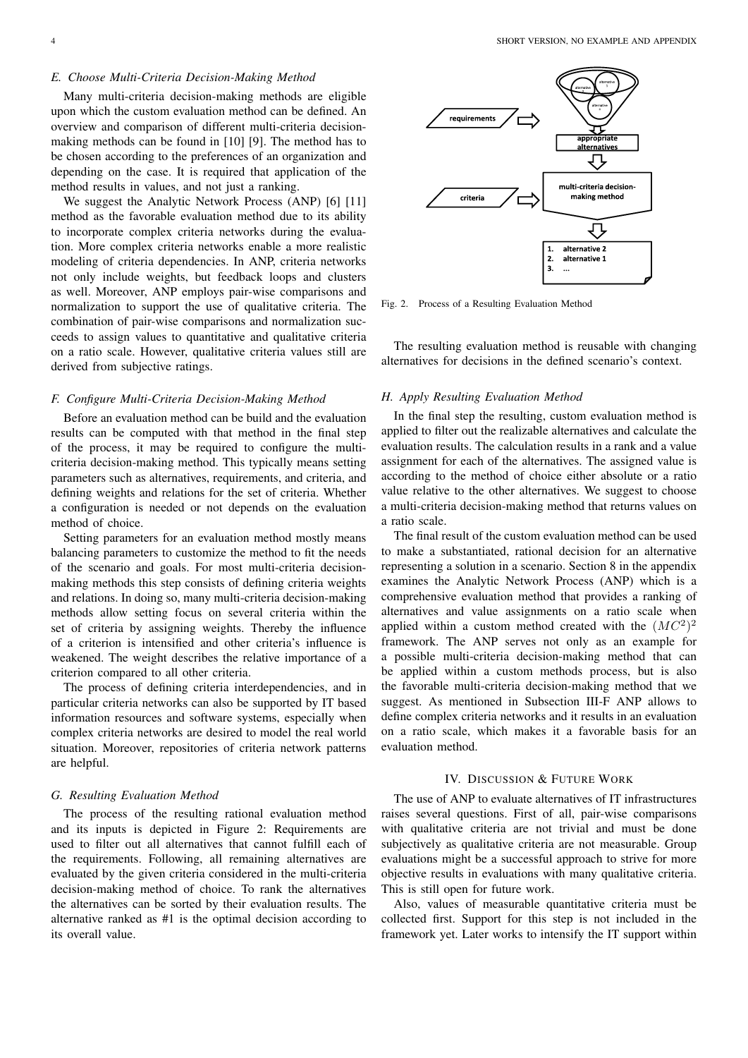#### *E. Choose Multi-Criteria Decision-Making Method*

Many multi-criteria decision-making methods are eligible upon which the custom evaluation method can be defined. An overview and comparison of different multi-criteria decisionmaking methods can be found in [10] [9]. The method has to be chosen according to the preferences of an organization and depending on the case. It is required that application of the method results in values, and not just a ranking.

We suggest the Analytic Network Process (ANP) [6] [11] method as the favorable evaluation method due to its ability to incorporate complex criteria networks during the evaluation. More complex criteria networks enable a more realistic modeling of criteria dependencies. In ANP, criteria networks not only include weights, but feedback loops and clusters as well. Moreover, ANP employs pair-wise comparisons and normalization to support the use of qualitative criteria. The combination of pair-wise comparisons and normalization succeeds to assign values to quantitative and qualitative criteria on a ratio scale. However, qualitative criteria values still are derived from subjective ratings.

# *F. Configure Multi-Criteria Decision-Making Method*

Before an evaluation method can be build and the evaluation results can be computed with that method in the final step of the process, it may be required to configure the multicriteria decision-making method. This typically means setting parameters such as alternatives, requirements, and criteria, and defining weights and relations for the set of criteria. Whether a configuration is needed or not depends on the evaluation method of choice.

Setting parameters for an evaluation method mostly means balancing parameters to customize the method to fit the needs of the scenario and goals. For most multi-criteria decisionmaking methods this step consists of defining criteria weights and relations. In doing so, many multi-criteria decision-making methods allow setting focus on several criteria within the set of criteria by assigning weights. Thereby the influence of a criterion is intensified and other criteria's influence is weakened. The weight describes the relative importance of a criterion compared to all other criteria.

The process of defining criteria interdependencies, and in particular criteria networks can also be supported by IT based information resources and software systems, especially when complex criteria networks are desired to model the real world situation. Moreover, repositories of criteria network patterns are helpful.

#### *G. Resulting Evaluation Method*

The process of the resulting rational evaluation method and its inputs is depicted in Figure 2: Requirements are used to filter out all alternatives that cannot fulfill each of the requirements. Following, all remaining alternatives are evaluated by the given criteria considered in the multi-criteria decision-making method of choice. To rank the alternatives the alternatives can be sorted by their evaluation results. The alternative ranked as #1 is the optimal decision according to its overall value.



Fig. 2. Process of a Resulting Evaluation Method

The resulting evaluation method is reusable with changing alternatives for decisions in the defined scenario's context.

# *H. Apply Resulting Evaluation Method*

In the final step the resulting, custom evaluation method is applied to filter out the realizable alternatives and calculate the evaluation results. The calculation results in a rank and a value assignment for each of the alternatives. The assigned value is according to the method of choice either absolute or a ratio value relative to the other alternatives. We suggest to choose a multi-criteria decision-making method that returns values on a ratio scale.

The final result of the custom evaluation method can be used to make a substantiated, rational decision for an alternative representing a solution in a scenario. Section 8 in the appendix examines the Analytic Network Process (ANP) which is a comprehensive evaluation method that provides a ranking of alternatives and value assignments on a ratio scale when applied within a custom method created with the  $(MC^2)^2$ framework. The ANP serves not only as an example for a possible multi-criteria decision-making method that can be applied within a custom methods process, but is also the favorable multi-criteria decision-making method that we suggest. As mentioned in Subsection III-F ANP allows to define complex criteria networks and it results in an evaluation on a ratio scale, which makes it a favorable basis for an evaluation method.

#### IV. DISCUSSION & FUTURE WORK

The use of ANP to evaluate alternatives of IT infrastructures raises several questions. First of all, pair-wise comparisons with qualitative criteria are not trivial and must be done subjectively as qualitative criteria are not measurable. Group evaluations might be a successful approach to strive for more objective results in evaluations with many qualitative criteria. This is still open for future work.

Also, values of measurable quantitative criteria must be collected first. Support for this step is not included in the framework yet. Later works to intensify the IT support within